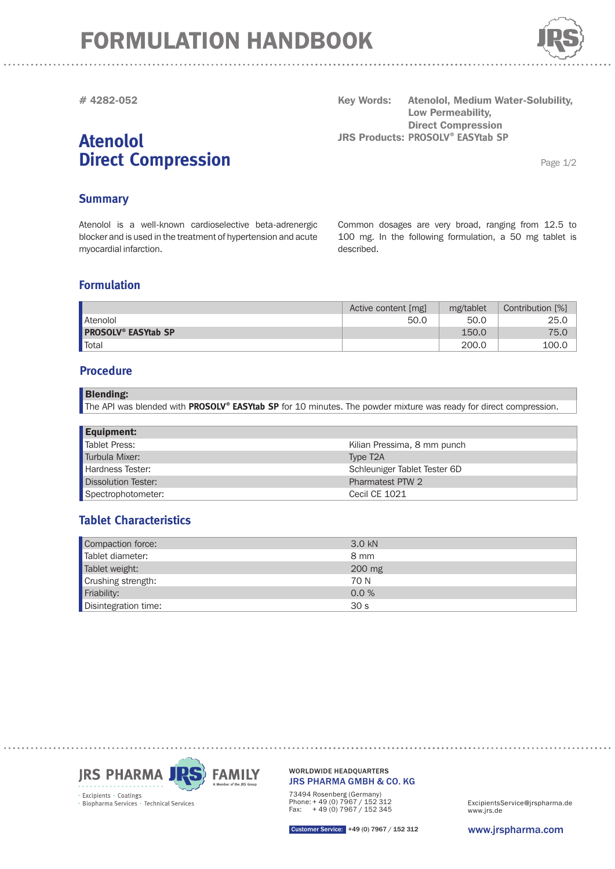## FORMULATION HANDBOOK



**# 4282-052**

## **Atenolol Direct Compression**

**Key Words: Atenolol, Medium Water-Solubility, Low Permeability, Direct Compression JRS Products: PROSOLV<sup>®</sup> EASYtab SP** 

Page 1/2

#### **Summary**

Atenolol is a well-known cardioselective beta-adrenergic blocker and is used in the treatment of hypertension and acute myocardial infarction.

Common dosages are very broad, ranging from 12.5 to 100 mg. In the following formulation, a 50 mg tablet is described.

#### **Formulation**

|                                       | Active content [mg] | mg/tablet | Contribution [%] |
|---------------------------------------|---------------------|-----------|------------------|
| Atenolol                              | 50.C                | 50.0      | 25.0             |
| <b>PROSOLV<sup>®</sup> EASYtab SP</b> |                     | 150.0     | 75.C             |
| <b>T</b> otal                         |                     | 200.C     | 100.0            |

#### **Procedure**

| The API was blended with PROSOLV® EASYtab SP for 10 minutes. The powder mixture was ready for direct compression. | <b>Blending:</b> |
|-------------------------------------------------------------------------------------------------------------------|------------------|
|                                                                                                                   |                  |

| <b>Equipment:</b>   |                              |
|---------------------|------------------------------|
| Tablet Press:       | Kilian Pressima, 8 mm punch  |
| Turbula Mixer:      | Type T <sub>2</sub> A        |
| Hardness Tester:    | Schleuniger Tablet Tester 6D |
| Dissolution Tester: | Pharmatest PTW 2             |
| Spectrophotometer:  | Cecil CE 1021                |

### **Tablet Characteristics**

| Compaction force:    | 3.0 kN          |
|----------------------|-----------------|
| Tablet diameter:     | 8 mm            |
| Tablet weight:       | 200 mg          |
| Crushing strength:   | 70 N            |
| Friability:          | 0.0%            |
| Disintegration time: | 30 <sub>s</sub> |



JRS PHARMA GMBH & CO. KG WORLDWIDE HEADQUARTERS

73494 Rosenberg (Germany) Phone: + 49 (0) 7967 / 152 312 Fax: + 49 (0) 7967 / 152 345

www.jrs.de ExcipientsService@jrspharma.de

www.jrspharma.com